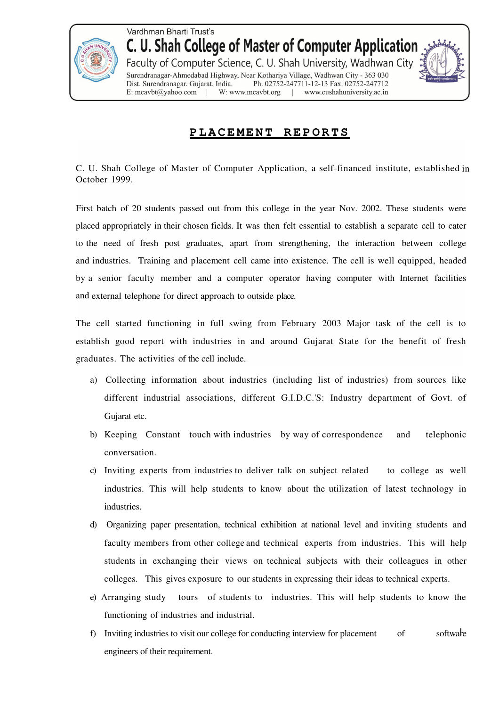

Vardhman Bharti Trust's C. U. Shah College of Master of Computer Application Faculty of Computer Science, C. U. Shah University, Wadhwan City Surendranagar-Ahmedabad Highway, Near Kothariya Village, Wadhwan City - 363 030 Ph. 02752-247711-12-13 Fax. 02752-247712 Dist. Surendranagar. Gujarat. India. W: www.mcavbt.org www.cushahuniversity.ac.in E: mcavbt@yahoo.com

## **P L A C E M E N T R E P O R T S**

C. U. Shah College of Master of Computer Application, a self-financed institute, established in October 1999.

First batch of 20 students passed out from this college in the year Nov. 2002. These students were placed appropriately in their chosen fields. It was then felt essential to establish a separate cell to cater to the need of fresh post graduates, apart from strengthening, the interaction between college and industries. Training and placement cell came into existence. The cell is well equipped, headed by a senior faculty member and a computer operator having computer with Internet facilities and external telephone for direct approach to outside place.

The cell started functioning in full swing from February 2003 Major task of the cell is to establish good report with industries in and around Gujarat State for the benefit of fresh graduates. The activities of the cell include.

- a) Collecting information about industries (including list of industries) from sources like different industrial associations, different G.I.D.C.'S: Industry department of Govt. of Gujarat etc.
- b) Keeping Constant touch with industries by way of correspondence and telephonic conversation.
- c) Inviting experts from industries to deliver talk on subject related to college as well industries. This will help students to know about the utilization of latest technology in industries.
- d) Organizing paper presentation, technical exhibition at national level and inviting students and faculty members from other college and technical experts from industries. This will help students in exchanging their views on technical subjects with their colleagues in other colleges. This gives exposure to our students in expressing their ideas to technical experts.
- e) Arranging study tours of students to industries. This will help students to know the functioning of industries and industrial.
- software f) Inviting industries to visit our college for conducting interview for placement of engineers of their requirement.